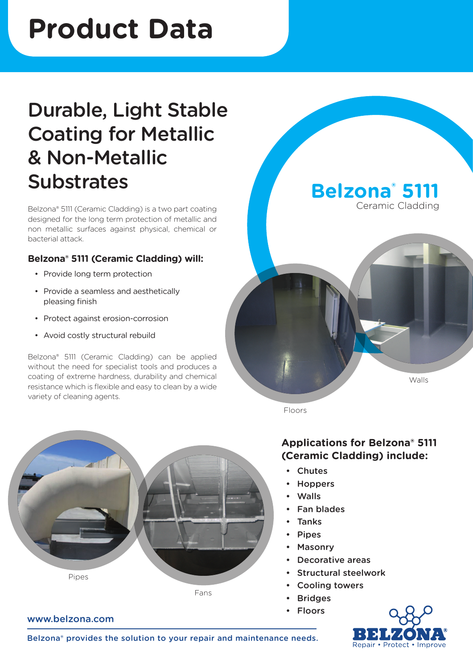# **Product Data**

## Durable, Light Stable Coating for Metallic & Non-Metallic **Substrates**

Belzona® 5111 (Ceramic Cladding) is a two part coating designed for the long term protection of metallic and non metallic surfaces against physical, chemical or bacterial attack.

#### **Belzona® 5111 (Ceramic Cladding) will:**

- Provide long term protection
- • Provide a seamless and aesthetically pleasing finish
- Protect against erosion-corrosion
- • Avoid costly structural rebuild

www.belzona.com

Belzona® 5111 (Ceramic Cladding) can be applied without the need for specialist tools and produces a coating of extreme hardness, durability and chemical resistance which is flexible and easy to clean by a wide variety of cleaning agents.



**Belzona® 5111** Ceramic Cladding

**Applications for Belzona® 5111 (Ceramic Cladding) include:** 

• Chutes

Floors

- **Hoppers**
- Walls
- Fan blades
- **Tanks**
- Pipes
- Masonry
- Decorative areas
- Structural steelwork
- Cooling towers
- **Bridges** 
	- Floors



Walls

Belzona® provides the solution to your repair and maintenance needs.